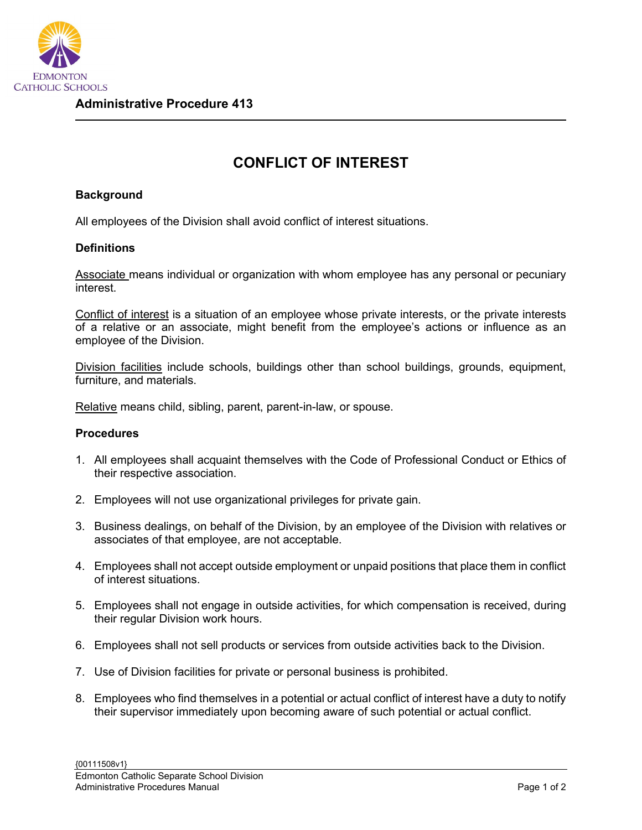

## **CONFLICT OF INTEREST**

## **Background**

All employees of the Division shall avoid conflict of interest situations.

## **Definitions**

Associate means individual or organization with whom employee has any personal or pecuniary interest.

Conflict of interest is a situation of an employee whose private interests, or the private interests of a relative or an associate, might benefit from the employee's actions or influence as an employee of the Division.

Division facilities include schools, buildings other than school buildings, grounds, equipment, furniture, and materials.

Relative means child, sibling, parent, parent-in-law, or spouse.

## **Procedures**

- 1. All employees shall acquaint themselves with the Code of Professional Conduct or Ethics of their respective association.
- 2. Employees will not use organizational privileges for private gain.
- 3. Business dealings, on behalf of the Division, by an employee of the Division with relatives or associates of that employee, are not acceptable.
- 4. Employees shall not accept outside employment or unpaid positions that place them in conflict of interest situations.
- 5. Employees shall not engage in outside activities, for which compensation is received, during their regular Division work hours.
- 6. Employees shall not sell products or services from outside activities back to the Division.
- 7. Use of Division facilities for private or personal business is prohibited.
- 8. Employees who find themselves in a potential or actual conflict of interest have a duty to notify their supervisor immediately upon becoming aware of such potential or actual conflict.

{00111508v1} Edmonton Catholic Separate School Division